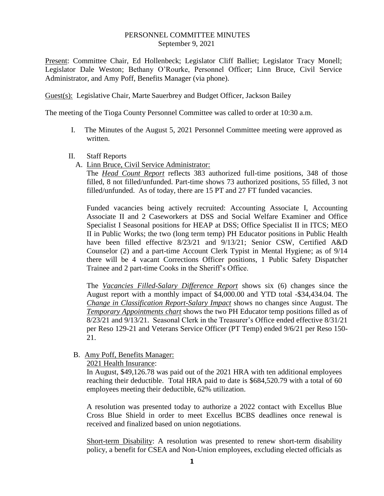### PERSONNEL COMMITTEE MINUTES September 9, 2021

Present: Committee Chair, Ed Hollenbeck; Legislator Cliff Balliet; Legislator Tracy Monell; Legislator Dale Weston; Bethany O'Rourke, Personnel Officer; Linn Bruce, Civil Service Administrator, and Amy Poff, Benefits Manager (via phone).

Guest(s): Legislative Chair, Marte Sauerbrey and Budget Officer, Jackson Bailey

The meeting of the Tioga County Personnel Committee was called to order at 10:30 a.m.

- I. The Minutes of the August 5, 2021 Personnel Committee meeting were approved as written.
- II. Staff Reports
	- A. Linn Bruce, Civil Service Administrator:

The *Head Count Report* reflects 383 authorized full-time positions, 348 of those filled, 8 not filled/unfunded. Part-time shows 73 authorized positions, 55 filled, 3 not filled/unfunded. As of today, there are 15 PT and 27 FT funded vacancies.

Funded vacancies being actively recruited: Accounting Associate I, Accounting Associate II and 2 Caseworkers at DSS and Social Welfare Examiner and Office Specialist I Seasonal positions for HEAP at DSS; Office Specialist II in ITCS; MEO II in Public Works; the two (long term temp) PH Educator positions in Public Health have been filled effective 8/23/21 and 9/13/21; Senior CSW, Certified A&D Counselor (2) and a part-time Account Clerk Typist in Mental Hygiene; as of 9/14 there will be 4 vacant Corrections Officer positions, 1 Public Safety Dispatcher Trainee and 2 part-time Cooks in the Sheriff's Office.

The *Vacancies Filled-Salary Difference Report* shows six (6) changes since the August report with a monthly impact of \$4,000.00 and YTD total -\$34,434.04. The *Change in Classification Report-Salary Impact* shows no changes since August. The *Temporary Appointments chart* shows the two PH Educator temp positions filled as of 8/23/21 and 9/13/21. Seasonal Clerk in the Treasurer's Office ended effective 8/31/21 per Reso 129-21 and Veterans Service Officer (PT Temp) ended 9/6/21 per Reso 150- 21.

# B. Amy Poff, Benefits Manager:

2021 Health Insurance:

In August, \$49,126.78 was paid out of the 2021 HRA with ten additional employees reaching their deductible. Total HRA paid to date is \$684,520.79 with a total of 60 employees meeting their deductible, 62% utilization.

A resolution was presented today to authorize a 2022 contact with Excellus Blue Cross Blue Shield in order to meet Excellus BCBS deadlines once renewal is received and finalized based on union negotiations.

Short-term Disability: A resolution was presented to renew short-term disability policy, a benefit for CSEA and Non-Union employees, excluding elected officials as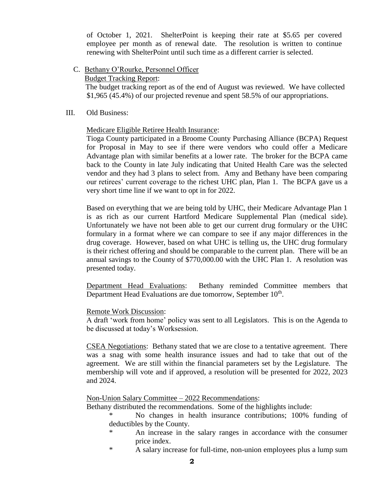of October 1, 2021. ShelterPoint is keeping their rate at \$5.65 per covered employee per month as of renewal date. The resolution is written to continue renewing with ShelterPoint until such time as a different carrier is selected.

C. Bethany O'Rourke, Personnel Officer

Budget Tracking Report:

 The budget tracking report as of the end of August was reviewed. We have collected \$1,965 (45.4%) of our projected revenue and spent 58.5% of our appropriations.

## III. Old Business:

Medicare Eligible Retiree Health Insurance:

Tioga County participated in a Broome County Purchasing Alliance (BCPA) Request for Proposal in May to see if there were vendors who could offer a Medicare Advantage plan with similar benefits at a lower rate. The broker for the BCPA came back to the County in late July indicating that United Health Care was the selected vendor and they had 3 plans to select from. Amy and Bethany have been comparing our retirees' current coverage to the richest UHC plan, Plan 1. The BCPA gave us a very short time line if we want to opt in for 2022.

Based on everything that we are being told by UHC, their Medicare Advantage Plan 1 is as rich as our current Hartford Medicare Supplemental Plan (medical side). Unfortunately we have not been able to get our current drug formulary or the UHC formulary in a format where we can compare to see if any major differences in the drug coverage. However, based on what UHC is telling us, the UHC drug formulary is their richest offering and should be comparable to the current plan. There will be an annual savings to the County of \$770,000.00 with the UHC Plan 1. A resolution was presented today.

Department Head Evaluations: Bethany reminded Committee members that Department Head Evaluations are due tomorrow, September 10<sup>th</sup>.

# Remote Work Discussion:

A draft 'work from home' policy was sent to all Legislators. This is on the Agenda to be discussed at today's Worksession.

CSEA Negotiations: Bethany stated that we are close to a tentative agreement. There was a snag with some health insurance issues and had to take that out of the agreement. We are still within the financial parameters set by the Legislature. The membership will vote and if approved, a resolution will be presented for 2022, 2023 and 2024.

# Non-Union Salary Committee – 2022 Recommendations:

Bethany distributed the recommendations. Some of the highlights include:

- No changes in health insurance contributions; 100% funding of deductibles by the County.
	- An increase in the salary ranges in accordance with the consumer price index.
	- \* A salary increase for full-time, non-union employees plus a lump sum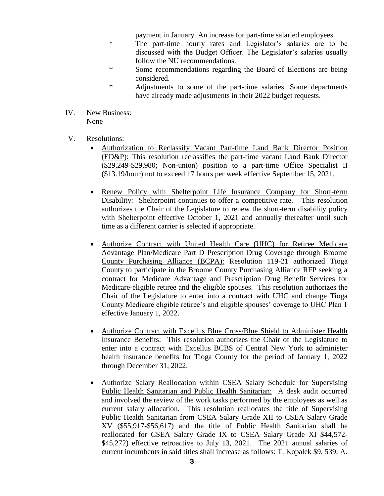payment in January. An increase for part-time salaried employees.

- \* The part-time hourly rates and Legislator's salaries are to be discussed with the Budget Officer. The Legislator's salaries usually follow the NU recommendations.
- \* Some recommendations regarding the Board of Elections are being considered.
- \* Adjustments to some of the part-time salaries. Some departments have already made adjustments in their 2022 budget requests.
- IV. New Business: None
- V. Resolutions:
	- Authorization to Reclassify Vacant Part-time Land Bank Director Position (ED&P): This resolution reclassifies the part-time vacant Land Bank Director (\$29,249-\$29,980; Non-union) position to a part-time Office Specialist II (\$13.19/hour) not to exceed 17 hours per week effective September 15, 2021.
	- Renew Policy with Shelterpoint Life Insurance Company for Short-term Disability: Shelterpoint continues to offer a competitive rate. This resolution authorizes the Chair of the Legislature to renew the short-term disability policy with Shelterpoint effective October 1, 2021 and annually thereafter until such time as a different carrier is selected if appropriate.
	- Authorize Contract with United Health Care (UHC) for Retiree Medicare Advantage Plan/Medicare Part D Prescription Drug Coverage through Broome County Purchasing Alliance (BCPA): Resolution 119-21 authorized Tioga County to participate in the Broome County Purchasing Alliance RFP seeking a contract for Medicare Advantage and Prescription Drug Benefit Services for Medicare-eligible retiree and the eligible spouses. This resolution authorizes the Chair of the Legislature to enter into a contract with UHC and change Tioga County Medicare eligible retiree's and eligible spouses' coverage to UHC Plan 1 effective January 1, 2022.
	- Authorize Contract with Excellus Blue Cross/Blue Shield to Administer Health Insurance Benefits: This resolution authorizes the Chair of the Legislature to enter into a contract with Excellus BCBS of Central New York to administer health insurance benefits for Tioga County for the period of January 1, 2022 through December 31, 2022.
	- Authorize Salary Reallocation within CSEA Salary Schedule for Supervising Public Health Sanitarian and Public Health Sanitarian: A desk audit occurred and involved the review of the work tasks performed by the employees as well as current salary allocation. This resolution reallocates the title of Supervising Public Health Sanitarian from CSEA Salary Grade XII to CSEA Salary Grade XV (\$55,917-\$56,617) and the title of Public Health Sanitarian shall be reallocated for CSEA Salary Grade IX to CSEA Salary Grade XI \$44,572- \$45,272) effective retroactive to July 13, 2021. The 2021 annual salaries of current incumbents in said titles shall increase as follows: T. Kopalek \$9, 539; A.